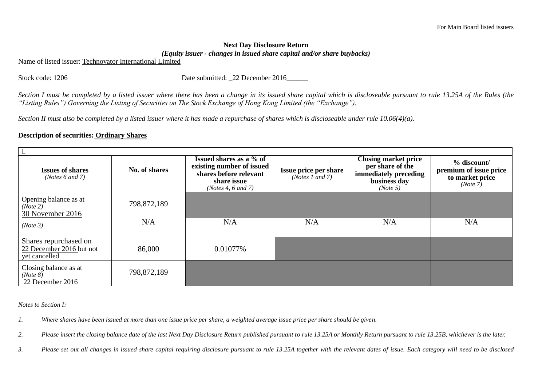## **Next Day Disclosure Return**  *(Equity issuer - changes in issued share capital and/or share buybacks)*

Name of listed issuer: Technovator International Limited

Stock code: 1206 Date submitted: 22 December 2016

*Section I must be completed by a listed issuer where there has been a change in its issued share capital which is discloseable pursuant to rule 13.25A of the Rules (the "Listing Rules") Governing the Listing of Securities on The Stock Exchange of Hong Kong Limited (the "Exchange").*

*Section II must also be completed by a listed issuer where it has made a repurchase of shares which is discloseable under rule 10.06(4)(a).*

## **Description of securities: Ordinary Shares**

| <b>Issues of shares</b><br>(Notes $6$ and $7$ )                    | No. of shares | Issued shares as a % of<br>existing number of issued<br>shares before relevant<br>share issue<br>(Notes 4, $6$ and $7$ ) | <b>Issue price per share</b><br>(Notes 1 and 7) | <b>Closing market price</b><br>per share of the<br>immediately preceding<br>business day<br>(Note 5) | $\%$ discount/<br>premium of issue price<br>to market price<br>(Note 7) |  |  |  |  |
|--------------------------------------------------------------------|---------------|--------------------------------------------------------------------------------------------------------------------------|-------------------------------------------------|------------------------------------------------------------------------------------------------------|-------------------------------------------------------------------------|--|--|--|--|
| Opening balance as at<br>(Note 2)<br>30 November 2016              | 798,872,189   |                                                                                                                          |                                                 |                                                                                                      |                                                                         |  |  |  |  |
| (Note 3)                                                           | N/A           | N/A                                                                                                                      | N/A                                             | N/A                                                                                                  | N/A                                                                     |  |  |  |  |
| Shares repurchased on<br>22 December 2016 but not<br>yet cancelled | 86,000        | 0.01077%                                                                                                                 |                                                 |                                                                                                      |                                                                         |  |  |  |  |
| Closing balance as at<br>(Note 8)<br>22 December 2016              | 798,872,189   |                                                                                                                          |                                                 |                                                                                                      |                                                                         |  |  |  |  |

*Notes to Section I:*

*1. Where shares have been issued at more than one issue price per share, a weighted average issue price per share should be given.* 

*2. Please insert the closing balance date of the last Next Day Disclosure Return published pursuant to rule 13.25A or Monthly Return pursuant to rule 13.25B, whichever is the later.*

*3. Please set out all changes in issued share capital requiring disclosure pursuant to rule 13.25A together with the relevant dates of issue. Each category will need to be disclosed*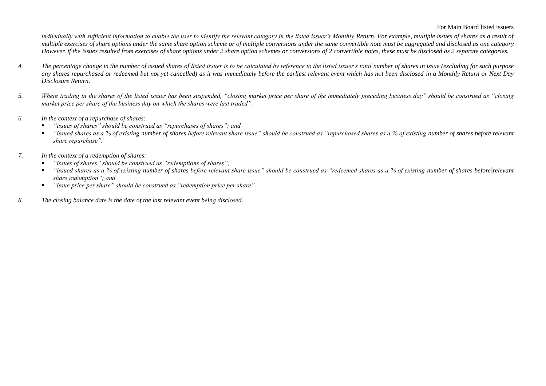## For Main Board listed issuers

individually with sufficient information to enable the user to identify the relevant category in the listed issuer's Monthly Return. For example, multiple issues of shares as a result of *multiple exercises of share options under the same share option scheme or of multiple conversions under the same convertible note must be aggregated and disclosed as one category. However, if the issues resulted from exercises of share options under 2 share option schemes or conversions of 2 convertible notes, these must be disclosed as 2 separate categories.*

- *4. The percentage change in the number of issued shares of listed issuer is to be calculated by reference to the listed issuer's total number of shares in issue (excluding for such purpose any shares repurchased or redeemed but not yet cancelled) as it was immediately before the earliest relevant event which has not been disclosed in a Monthly Return or Next Day Disclosure Return.*
- *5. Where trading in the shares of the listed issuer has been suspended, "closing market price per share of the immediately preceding business day" should be construed as "closing market price per share of the business day on which the shares were last traded".*
- *6. In the context of a repurchase of shares:*
	- *"issues of shares" should be construed as "repurchases of shares"; and*
	- *"issued shares as a % of existing number of shares before relevant share issue" should be construed as "repurchased shares as a % of existing number of shares before relevant share repurchase".*
- *7. In the context of a redemption of shares:*
	- *"issues of shares" should be construed as "redemptions of shares";*
	- *"issued shares as a % of existing number of shares before relevant share issue" should be construed as "redeemed shares as a % of existing number of shares before relevant share redemption"; and*
	- *"issue price per share" should be construed as "redemption price per share".*
- *8. The closing balance date is the date of the last relevant event being disclosed.*